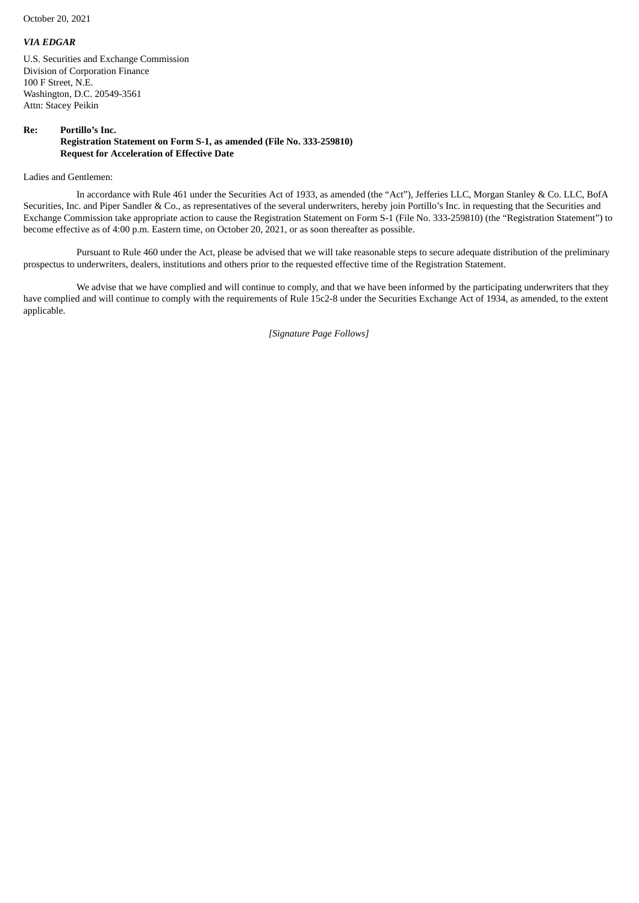October 20, 2021

## *VIA EDGAR*

U.S. Securities and Exchange Commission Division of Corporation Finance 100 F Street, N.E. Washington, D.C. 20549-3561 Attn: Stacey Peikin

## **Re: Portillo's Inc. Registration Statement on Form S-1, as amended (File No. 333-259810) Request for Acceleration of Effective Date**

Ladies and Gentlemen:

In accordance with Rule 461 under the Securities Act of 1933, as amended (the "Act"), Jefferies LLC, Morgan Stanley & Co. LLC, BofA Securities, Inc. and Piper Sandler & Co., as representatives of the several underwriters, hereby join Portillo's Inc. in requesting that the Securities and Exchange Commission take appropriate action to cause the Registration Statement on Form S-1 (File No. 333-259810) (the "Registration Statement") to become effective as of 4:00 p.m. Eastern time, on October 20, 2021, or as soon thereafter as possible.

Pursuant to Rule 460 under the Act, please be advised that we will take reasonable steps to secure adequate distribution of the preliminary prospectus to underwriters, dealers, institutions and others prior to the requested effective time of the Registration Statement.

We advise that we have complied and will continue to comply, and that we have been informed by the participating underwriters that they have complied and will continue to comply with the requirements of Rule 15c2-8 under the Securities Exchange Act of 1934, as amended, to the extent applicable.

*[Signature Page Follows]*